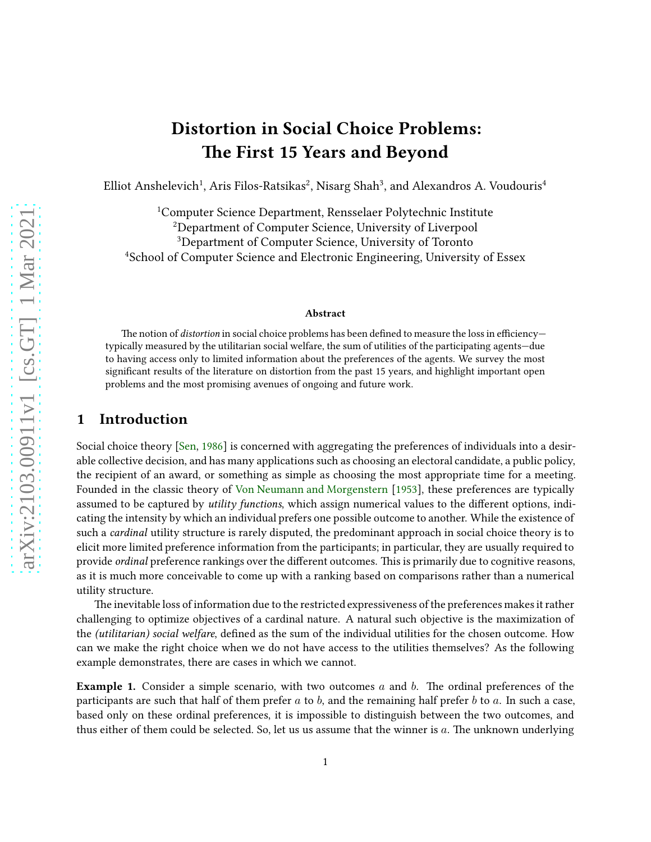# Distortion in Social Choice Problems: The First 15 Years and Beyond

Elliot Anshelevich<sup>1</sup>, Aris Filos-Ratsikas<sup>2</sup>, Nisarg Shah<sup>3</sup>, and Alexandros A. Voudouris<sup>4</sup>

Computer Science Department, Rensselaer Polytechnic Institute Department of Computer Science, University of Liverpool Department of Computer Science, University of Toronto <sup>4</sup>School of Computer Science and Electronic Engineering, University of Essex

#### Abstract

The notion of *distortion* in social choice problems has been defined to measure the loss in efficiencytypically measured by the utilitarian social welfare, the sum of utilities of the participating agents—due to having access only to limited information about the preferences of the agents. We survey the most significant results of the literature on distortion from the past 15 years, and highlight important open problems and the most promising avenues of ongoing and future work.

### 1 Introduction

Social choice theory [\[Sen,](#page-13-0) [1986](#page-13-0)] is concerned with aggregating the preferences of individuals into a desirable collective decision, and has many applications such as choosing an electoral candidate, a public policy, the recipient of an award, or something as simple as choosing the most appropriate time for a meeting. Founded in the classic theory of [Von Neumann and Morgenstern](#page-13-1) [\[1953\]](#page-13-1), these preferences are typically assumed to be captured by utility functions, which assign numerical values to the different options, indicating the intensity by which an individual prefers one possible outcome to another. While the existence of such a *cardinal* utility structure is rarely disputed, the predominant approach in social choice theory is to elicit more limited preference information from the participants; in particular, they are usually required to provide ordinal preference rankings over the different outcomes. This is primarily due to cognitive reasons, as it is much more conceivable to come up with a ranking based on comparisons rather than a numerical utility structure.

The inevitable loss of information due to the restricted expressiveness of the preferences makes it rather challenging to optimize objectives of a cardinal nature. A natural such objective is the maximization of the (utilitarian) social welfare, defined as the sum of the individual utilities for the chosen outcome. How can we make the right choice when we do not have access to the utilities themselves? As the following example demonstrates, there are cases in which we cannot.

<span id="page-0-0"></span>**Example 1.** Consider a simple scenario, with two outcomes a and b. The ordinal preferences of the participants are such that half of them prefer  $a$  to  $b$ , and the remaining half prefer  $b$  to  $a$ . In such a case, based only on these ordinal preferences, it is impossible to distinguish between the two outcomes, and thus either of them could be selected. So, let us us assume that the winner is  $a$ . The unknown underlying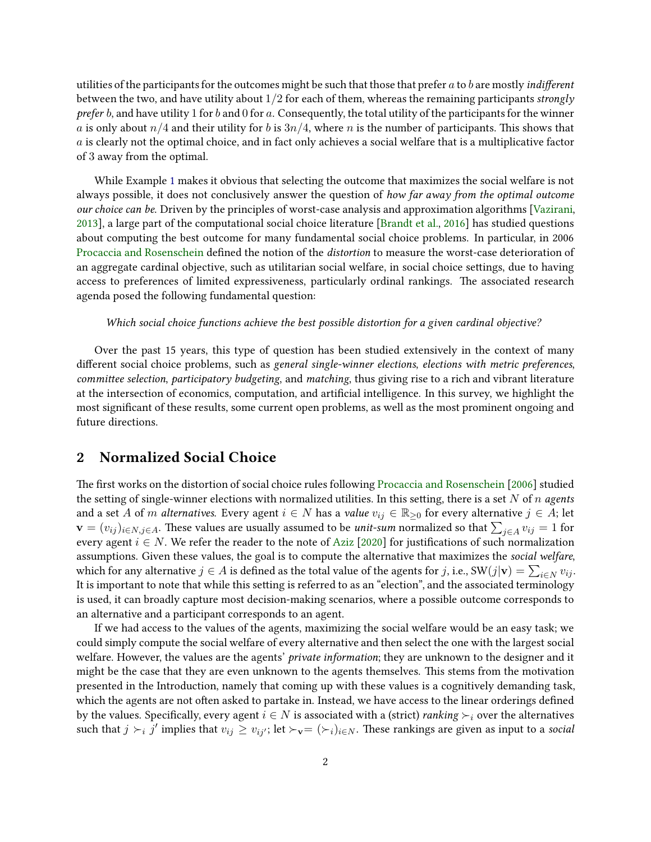utilities of the participants for the outcomes might be such that those that prefer  $a$  to  $b$  are mostly *indifferent* between the two, and have utility about  $1/2$  for each of them, whereas the remaining participants strongly prefer b, and have utility 1 for b and 0 for a. Consequently, the total utility of the participants for the winner a is only about  $n/4$  and their utility for b is  $3n/4$ , where n is the number of participants. This shows that a is clearly not the optimal choice, and in fact only achieves a social welfare that is a multiplicative factor of 3 away from the optimal.

While Example [1](#page-0-0) makes it obvious that selecting the outcome that maximizes the social welfare is not always possible, it does not conclusively answer the question of how far away from the optimal outcome our choice can be. Driven by the principles of worst-case analysis and approximation algorithms [\[Vazirani,](#page-13-2) [2013](#page-13-2)], a large part of the computational social choice literature [\[Brandt et al.](#page-11-0), [2016\]](#page-11-0) has studied questions about computing the best outcome for many fundamental social choice problems. In particular, in 2006 [Procaccia and Rosenschein](#page-13-3) defined the notion of the distortion to measure the worst-case deterioration of an aggregate cardinal objective, such as utilitarian social welfare, in social choice settings, due to having access to preferences of limited expressiveness, particularly ordinal rankings. The associated research agenda posed the following fundamental question:

#### Which social choice functions achieve the best possible distortion for a given cardinal objective?

Over the past 15 years, this type of question has been studied extensively in the context of many different social choice problems, such as general single-winner elections, elections with metric preferences, committee selection, participatory budgeting, and matching, thus giving rise to a rich and vibrant literature at the intersection of economics, computation, and artificial intelligence. In this survey, we highlight the most significant of these results, some current open problems, as well as the most prominent ongoing and future directions.

### <span id="page-1-0"></span>2 Normalized Social Choice

The first works on the distortion of social choice rules following [Procaccia and Rosenschein](#page-13-3) [\[2006](#page-13-3)] studied the setting of single-winner elections with normalized utilities. In this setting, there is a set N of n agents and a set A of m alternatives. Every agent  $i \in N$  has a value  $v_{ij} \in \mathbb{R}_{\geq 0}$  for every alternative  $j \in A$ ; let  $\mathbf{v}=(v_{ij})_{i\in N,j\in A}.$  These values are usually assumed to be *unit-sum* normalized so that  $\sum_{j\in A}v_{ij}=1$  for every agent  $i \in N$ . We refer the reader to the note of [Aziz](#page-10-0) [\[2020\]](#page-10-0) for justifications of such normalization assumptions. Given these values, the goal is to compute the alternative that maximizes the social welfare, which for any alternative  $j \in A$  is defined as the total value of the agents for  $j$ , i.e., SW $(j|\mathbf{v}) = \sum_{i \in N} v_{ij}$ . It is important to note that while this setting is referred to as an "election", and the associated terminology is used, it can broadly capture most decision-making scenarios, where a possible outcome corresponds to an alternative and a participant corresponds to an agent.

If we had access to the values of the agents, maximizing the social welfare would be an easy task; we could simply compute the social welfare of every alternative and then select the one with the largest social welfare. However, the values are the agents' *private information*; they are unknown to the designer and it might be the case that they are even unknown to the agents themselves. This stems from the motivation presented in the Introduction, namely that coming up with these values is a cognitively demanding task, which the agents are not often asked to partake in. Instead, we have access to the linear orderings defined by the values. Specifically, every agent  $i \in N$  is associated with a (strict) *ranking*  $\succ_i$  over the alternatives such that  $j \succ_i j'$  implies that  $v_{ij} \ge v_{ij'}$ ; let  $\succ_{\mathbf{v}} = (\succ_i)_{i \in N}$ . These rankings are given as input to a social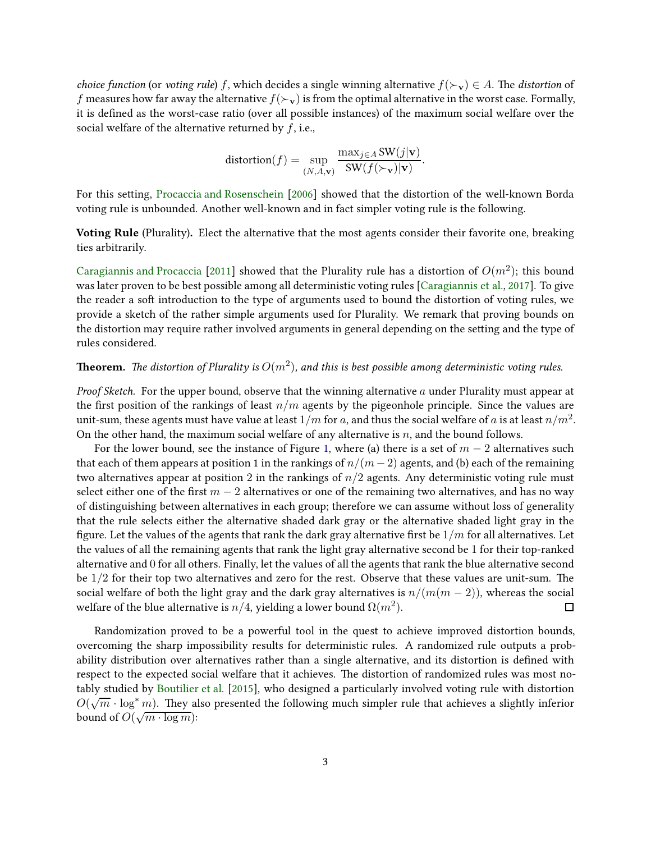choice function (or voting rule) f, which decides a single winning alternative  $f(\succ_{\mathbf{v}}) \in A$ . The distortion of f measures how far away the alternative  $f(\succ_{\mathbf{v}})$  is from the optimal alternative in the worst case. Formally, it is defined as the worst-case ratio (over all possible instances) of the maximum social welfare over the social welfare of the alternative returned by  $f$ , i.e.,

$$
distortion(f) = \sup_{(N,A,\mathbf{v})} \frac{\max_{j \in A} SW(j|\mathbf{v})}{SW(f(\succ_{\mathbf{v}})|\mathbf{v})}.
$$

For this setting, [Procaccia and Rosenschein](#page-13-3) [\[2006](#page-13-3)] showed that the distortion of the well-known Borda voting rule is unbounded. Another well-known and in fact simpler voting rule is the following.

Voting Rule (Plurality). Elect the alternative that the most agents consider their favorite one, breaking ties arbitrarily.

[Caragiannis and Procaccia](#page-11-1) [\[2011](#page-11-1)] showed that the Plurality rule has a distortion of  $O(m^2)$ ; this bound was later proven to be best possible among all deterministic voting rules [\[Caragiannis et al.](#page-11-2), [2017](#page-11-2)]. To give the reader a soft introduction to the type of arguments used to bound the distortion of voting rules, we provide a sketch of the rather simple arguments used for Plurality. We remark that proving bounds on the distortion may require rather involved arguments in general depending on the setting and the type of rules considered.

### **Theorem.** The distortion of Plurality is  $O(m^2)$ , and this is best possible among deterministic voting rules.

*Proof Sketch.* For the upper bound, observe that the winning alternative  $a$  under Plurality must appear at the first position of the rankings of least  $n/m$  agents by the pigeonhole principle. Since the values are unit-sum, these agents must have value at least  $1/m$  for  $a$ , and thus the social welfare of  $a$  is at least  $n/m^2$ . On the other hand, the maximum social welfare of any alternative is  $n$ , and the bound follows.

For the lower bound, see the instance of Figure [1,](#page-3-0) where (a) there is a set of  $m - 2$  alternatives such that each of them appears at position 1 in the rankings of  $n/(m-2)$  agents, and (b) each of the remaining two alternatives appear at position 2 in the rankings of  $n/2$  agents. Any deterministic voting rule must select either one of the first  $m - 2$  alternatives or one of the remaining two alternatives, and has no way of distinguishing between alternatives in each group; therefore we can assume without loss of generality that the rule selects either the alternative shaded dark gray or the alternative shaded light gray in the figure. Let the values of the agents that rank the dark gray alternative first be  $1/m$  for all alternatives. Let the values of all the remaining agents that rank the light gray alternative second be 1 for their top-ranked alternative and 0 for all others. Finally, let the values of all the agents that rank the blue alternative second be  $1/2$  for their top two alternatives and zero for the rest. Observe that these values are unit-sum. The social welfare of both the light gray and the dark gray alternatives is  $n/(m(m-2))$ , whereas the social welfare of the blue alternative is  $n/4$ , vielding a lower bound  $\Omega(m^2)$ . welfare of the blue alternative is  $n/4$ , yielding a lower bound  $\Omega(m^2).$ 

Randomization proved to be a powerful tool in the quest to achieve improved distortion bounds, overcoming the sharp impossibility results for deterministic rules. A randomized rule outputs a probability distribution over alternatives rather than a single alternative, and its distortion is defined with respect to the expected social welfare that it achieves. The distortion of randomized rules was most notably studied by [Boutilier et al.](#page-11-3) [\[2015](#page-11-3)], who designed a particularly involved voting rule with distortion  $O(\sqrt{m} \cdot \log^* m)$ . They also presented the following much simpler rule that achieves a slightly inferior bound of  $O(\sqrt{m \cdot \log m})$ :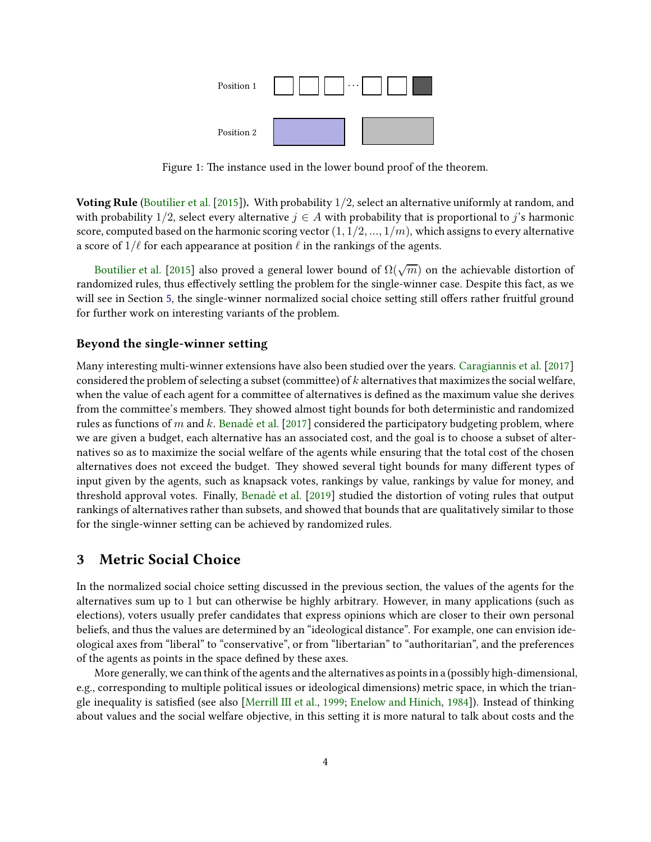

<span id="page-3-0"></span>Figure 1: The instance used in the lower bound proof of the theorem.

Voting Rule [\(Boutilier et al.](#page-11-3) [\[2015](#page-11-3)]). With probability  $1/2$ , select an alternative uniformly at random, and with probability 1/2, select every alternative  $j \in A$  with probability that is proportional to j's harmonic score, computed based on the harmonic scoring vector  $(1, 1/2, ..., 1/m)$ , which assigns to every alternative a score of  $1/\ell$  for each appearance at position  $\ell$  in the rankings of the agents.

[Boutilier et al.](#page-11-3) [\[2015\]](#page-11-3) also proved a general lower bound of  $\Omega(\sqrt{m})$  on the achievable distortion of randomized rules, thus effectively settling the problem for the single-winner case. Despite this fact, as we will see in Section [5,](#page-7-0) the single-winner normalized social choice setting still offers rather fruitful ground for further work on interesting variants of the problem.

#### Beyond the single-winner setting

Many interesting multi-winner extensions have also been studied over the years. [Caragiannis et al.](#page-11-2) [\[2017](#page-11-2)] considered the problem of selecting a subset (committee) of  $k$  alternatives that maximizes the social welfare, when the value of each agent for a committee of alternatives is defined as the maximum value she derives from the committee's members. They showed almost tight bounds for both deterministic and randomized rules as functions of m and k. [Benade et al.](#page-10-1) [\[2017](#page-10-1)] considered the participatory budgeting problem, where we are given a budget, each alternative has an associated cost, and the goal is to choose a subset of alternatives so as to maximize the social welfare of the agents while ensuring that the total cost of the chosen alternatives does not exceed the budget. They showed several tight bounds for many different types of input given by the agents, such as knapsack votes, rankings by value, rankings by value for money, and threshold approval votes. Finally, Benadè et al. [\[2019](#page-10-2)] studied the distortion of voting rules that output rankings of alternatives rather than subsets, and showed that bounds that are qualitatively similar to those for the single-winner setting can be achieved by randomized rules.

### 3 Metric Social Choice

In the normalized social choice setting discussed in the previous section, the values of the agents for the alternatives sum up to 1 but can otherwise be highly arbitrary. However, in many applications (such as elections), voters usually prefer candidates that express opinions which are closer to their own personal beliefs, and thus the values are determined by an "ideological distance". For example, one can envision ideological axes from "liberal" to "conservative", or from "libertarian" to "authoritarian", and the preferences of the agents as points in the space defined by these axes.

More generally, we can think of the agents and the alternatives as points in a (possibly high-dimensional, e.g., corresponding to multiple political issues or ideological dimensions) metric space, in which the triangle inequality is satisfied (see also [\[Merrill III et al.](#page-13-4), [1999](#page-13-4); [Enelow and Hinich](#page-11-4), [1984](#page-11-4)]). Instead of thinking about values and the social welfare objective, in this setting it is more natural to talk about costs and the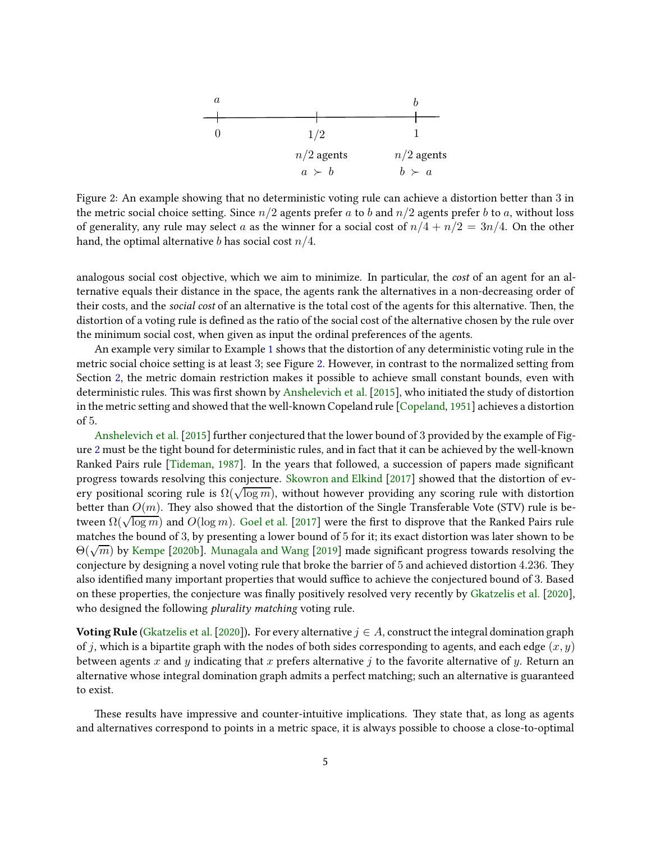

<span id="page-4-0"></span>Figure 2: An example showing that no deterministic voting rule can achieve a distortion better than 3 in the metric social choice setting. Since  $n/2$  agents prefer a to b and  $n/2$  agents prefer b to a, without loss of generality, any rule may select a as the winner for a social cost of  $n/4 + n/2 = 3n/4$ . On the other hand, the optimal alternative b has social cost  $n/4$ .

analogous social cost objective, which we aim to minimize. In particular, the cost of an agent for an alternative equals their distance in the space, the agents rank the alternatives in a non-decreasing order of their costs, and the *social cost* of an alternative is the total cost of the agents for this alternative. Then, the distortion of a voting rule is defined as the ratio of the social cost of the alternative chosen by the rule over the minimum social cost, when given as input the ordinal preferences of the agents.

An example very similar to Example [1](#page-0-0) shows that the distortion of any deterministic voting rule in the metric social choice setting is at least 3; see Figure [2.](#page-4-0) However, in contrast to the normalized setting from Section [2,](#page-1-0) the metric domain restriction makes it possible to achieve small constant bounds, even with deterministic rules. This was first shown by [Anshelevich et al.](#page-10-3) [\[2015\]](#page-10-3), who initiated the study of distortion in the metric setting and showed that the well-known Copeland rule [\[Copeland,](#page-11-5) [1951\]](#page-11-5) achieves a distortion of 5.

[Anshelevich et al.](#page-10-3) [\[2015](#page-10-3)] further conjectured that the lower bound of 3 provided by the example of Figure [2](#page-4-0) must be the tight bound for deterministic rules, and in fact that it can be achieved by the well-known Ranked Pairs rule [\[Tideman](#page-13-5), [1987](#page-13-5)]. In the years that followed, a succession of papers made significant progress towards resolving this conjecture. [Skowron and Elkind](#page-13-6) [\[2017](#page-13-6)] showed that the distortion of every positional scoring rule is  $\Omega(\sqrt{\log m})$ , without however providing any scoring rule with distortion better than  $O(m)$ . They also showed that the distortion of the Single Transferable Vote (STV) rule is between  $\Omega(\sqrt{\log m})$  and  $O(\log m)$ . [Goel et al.](#page-12-0) [\[2017](#page-12-0)] were the first to disprove that the Ranked Pairs rule matches the bound of 3, by presenting a lower bound of 5 for it; its exact distortion was later shown to be  $\Theta(\sqrt{m})$  by [Kempe](#page-12-1) [\[2020b\]](#page-12-1). [Munagala and Wang](#page-13-7) [\[2019\]](#page-13-7) made significant progress towards resolving the conjecture by designing a novel voting rule that broke the barrier of 5 and achieved distortion 4.236. They also identified many important properties that would suffice to achieve the conjectured bound of 3. Based on these properties, the conjecture was finally positively resolved very recently by [Gkatzelis et al.](#page-12-2) [\[2020\]](#page-12-2), who designed the following *plurality matching* voting rule.

**Voting Rule** (Gkatzelis et al. [2020]). For every alternative  $j \in A$ , construct the integral domination graph of j, which is a bipartite graph with the nodes of both sides corresponding to agents, and each edge  $(x, y)$ between agents x and y indicating that x prefers alternative j to the favorite alternative of y. Return an alternative whose integral domination graph admits a perfect matching; such an alternative is guaranteed to exist.

These results have impressive and counter-intuitive implications. They state that, as long as agents and alternatives correspond to points in a metric space, it is always possible to choose a close-to-optimal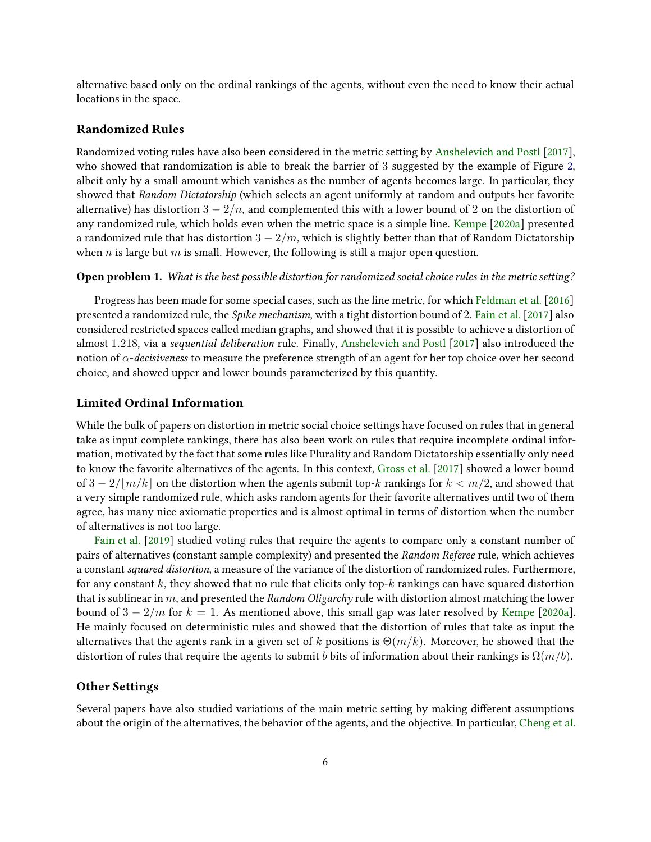alternative based only on the ordinal rankings of the agents, without even the need to know their actual locations in the space.

### Randomized Rules

Randomized voting rules have also been considered in the metric setting by [Anshelevich and Postl](#page-10-4) [\[2017\]](#page-10-4), who showed that randomization is able to break the barrier of 3 suggested by the example of Figure [2,](#page-4-0) albeit only by a small amount which vanishes as the number of agents becomes large. In particular, they showed that Random Dictatorship (which selects an agent uniformly at random and outputs her favorite alternative) has distortion  $3 - 2/n$ , and complemented this with a lower bound of 2 on the distortion of any randomized rule, which holds even when the metric space is a simple line. [Kempe](#page-12-3) [\[2020a\]](#page-12-3) presented a randomized rule that has distortion  $3 - 2/m$ , which is slightly better than that of Random Dictatorship when n is large but m is small. However, the following is still a major open question.

#### Open problem 1. What is the best possible distortion for randomized social choice rules in the metric setting?

Progress has been made for some special cases, such as the line metric, for which [Feldman et al.](#page-11-6) [\[2016](#page-11-6)] presented a randomized rule, the Spike mechanism, with a tight distortion bound of 2. [Fain et al.](#page-11-7) [\[2017](#page-11-7)] also considered restricted spaces called median graphs, and showed that it is possible to achieve a distortion of almost 1.218, via a sequential deliberation rule. Finally, [Anshelevich and Postl](#page-10-4) [\[2017\]](#page-10-4) also introduced the notion of  $\alpha$ -decisiveness to measure the preference strength of an agent for her top choice over her second choice, and showed upper and lower bounds parameterized by this quantity.

#### Limited Ordinal Information

While the bulk of papers on distortion in metric social choice settings have focused on rules that in general take as input complete rankings, there has also been work on rules that require incomplete ordinal information, motivated by the fact that some rules like Plurality and Random Dictatorship essentially only need to know the favorite alternatives of the agents. In this context, [Gross et al.](#page-12-4) [\[2017\]](#page-12-4) showed a lower bound of  $3 - 2/|\frac{m}{k}|$  on the distortion when the agents submit top-k rankings for  $k < \frac{m}{2}$ , and showed that a very simple randomized rule, which asks random agents for their favorite alternatives until two of them agree, has many nice axiomatic properties and is almost optimal in terms of distortion when the number of alternatives is not too large.

[Fain et al.](#page-11-8) [\[2019](#page-11-8)] studied voting rules that require the agents to compare only a constant number of pairs of alternatives (constant sample complexity) and presented the Random Referee rule, which achieves a constant squared distortion, a measure of the variance of the distortion of randomized rules. Furthermore, for any constant k, they showed that no rule that elicits only top- $k$  rankings can have squared distortion that is sublinear in  $m$ , and presented the Random Oligarchy rule with distortion almost matching the lower bound of  $3 - 2/m$  for  $k = 1$ . As mentioned above, this small gap was later resolved by [Kempe](#page-12-3) [\[2020a](#page-12-3)]. He mainly focused on deterministic rules and showed that the distortion of rules that take as input the alternatives that the agents rank in a given set of k positions is  $\Theta(m/k)$ . Moreover, he showed that the distortion of rules that require the agents to submit b bits of information about their rankings is  $\Omega(m/b)$ .

### Other Settings

Several papers have also studied variations of the main metric setting by making different assumptions about the origin of the alternatives, the behavior of the agents, and the objective. In particular, [Cheng et al.](#page-11-9)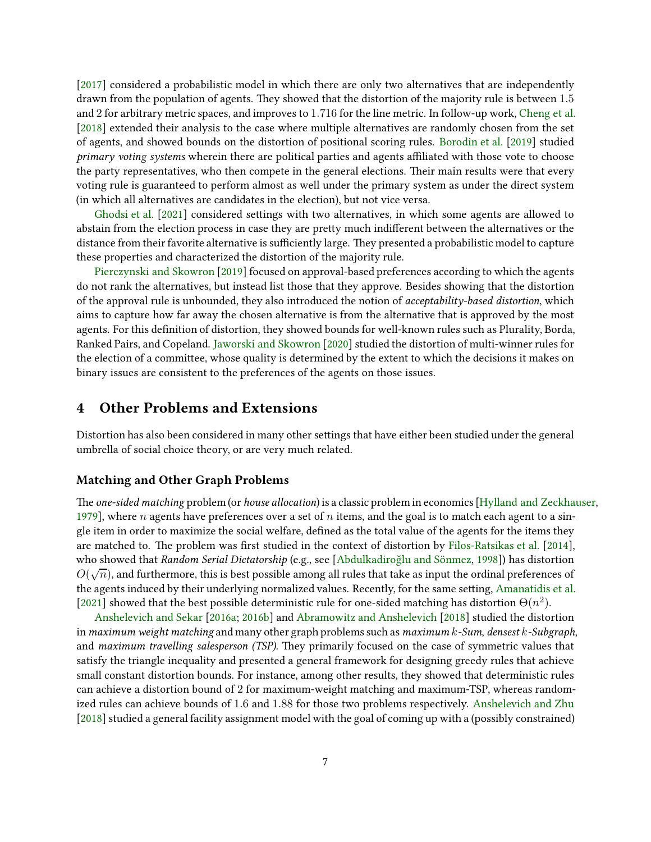[\[2017](#page-11-9)] considered a probabilistic model in which there are only two alternatives that are independently drawn from the population of agents. They showed that the distortion of the majority rule is between 1.5 and 2 for arbitrary metric spaces, and improves to 1.716 for the line metric. In follow-up work, [Cheng et al.](#page-11-10) [\[2018](#page-11-10)] extended their analysis to the case where multiple alternatives are randomly chosen from the set of agents, and showed bounds on the distortion of positional scoring rules. [Borodin et al.](#page-11-11) [\[2019](#page-11-11)] studied primary voting systems wherein there are political parties and agents affiliated with those vote to choose the party representatives, who then compete in the general elections. Their main results were that every voting rule is guaranteed to perform almost as well under the primary system as under the direct system (in which all alternatives are candidates in the election), but not vice versa.

[Ghodsi et al.](#page-12-5) [\[2021](#page-12-5)] considered settings with two alternatives, in which some agents are allowed to abstain from the election process in case they are pretty much indifferent between the alternatives or the distance from their favorite alternative is sufficiently large. They presented a probabilistic model to capture these properties and characterized the distortion of the majority rule.

[Pierczynski and Skowron](#page-13-8) [\[2019](#page-13-8)] focused on approval-based preferences according to which the agents do not rank the alternatives, but instead list those that they approve. Besides showing that the distortion of the approval rule is unbounded, they also introduced the notion of *acceptability-based distortion*, which aims to capture how far away the chosen alternative is from the alternative that is approved by the most agents. For this definition of distortion, they showed bounds for well-known rules such as Plurality, Borda, Ranked Pairs, and Copeland. [Jaworski and Skowron](#page-12-6) [\[2020\]](#page-12-6) studied the distortion of multi-winner rules for the election of a committee, whose quality is determined by the extent to which the decisions it makes on binary issues are consistent to the preferences of the agents on those issues.

### 4 Other Problems and Extensions

Distortion has also been considered in many other settings that have either been studied under the general umbrella of social choice theory, or are very much related.

#### Matching and Other Graph Problems

The one-sided matching problem (or house allocation) is a classic problem in economics [\[Hylland and Zeckhauser,](#page-12-7) [1979](#page-12-7)], where n agents have preferences over a set of n items, and the goal is to match each agent to a single item in order to maximize the social welfare, defined as the total value of the agents for the items they are matched to. The problem was first studied in the context of distortion by [Filos-Ratsikas et al.](#page-12-8) [\[2014\]](#page-12-8), who showed that Random Serial Dictatorship (e.g., see [Abdulkadiroğlu and Sönmez, [1998\]](#page-10-5)) has distortion  $O(\sqrt{n})$ , and furthermore, this is best possible among all rules that take as input the ordinal preferences of the agents induced by their underlying normalized values. Recently, for the same setting, [Amanatidis et al.](#page-10-6) [\[2021](#page-10-6)] showed that the best possible deterministic rule for one-sided matching has distortion  $\Theta(n^2)$ .

[Anshelevich and Sekar](#page-10-7) [\[2016a](#page-10-7); [2016b](#page-10-8)] and [Abramowitz and Anshelevich](#page-10-9) [\[2018](#page-10-9)] studied the distortion in maximum weight matching and many other graph problems such as maximum k-Sum, densest k-Subgraph, and maximum travelling salesperson (TSP). They primarily focused on the case of symmetric values that satisfy the triangle inequality and presented a general framework for designing greedy rules that achieve small constant distortion bounds. For instance, among other results, they showed that deterministic rules can achieve a distortion bound of 2 for maximum-weight matching and maximum-TSP, whereas randomized rules can achieve bounds of 1.6 and 1.88 for those two problems respectively. [Anshelevich and Zhu](#page-10-10) [\[2018](#page-10-10)] studied a general facility assignment model with the goal of coming up with a (possibly constrained)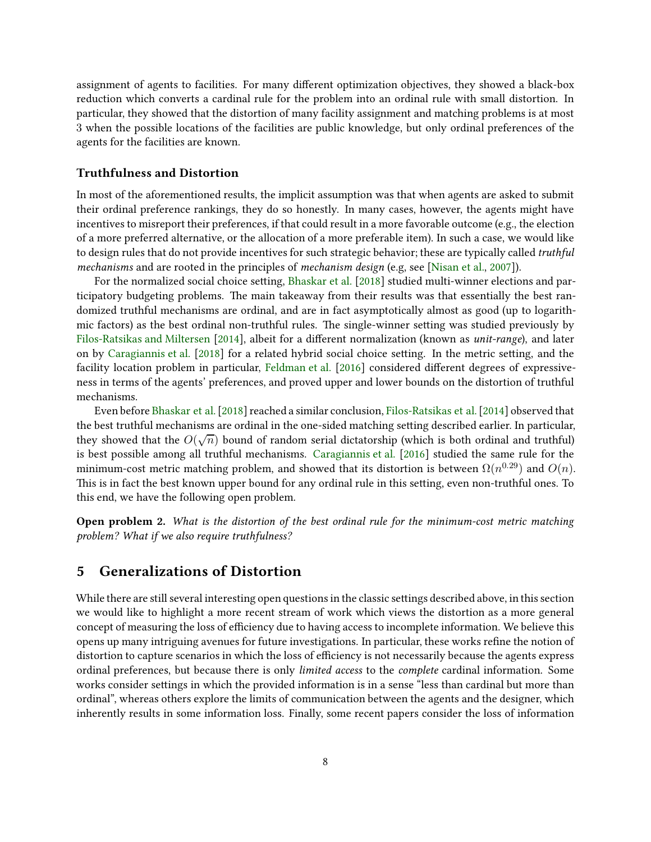assignment of agents to facilities. For many different optimization objectives, they showed a black-box reduction which converts a cardinal rule for the problem into an ordinal rule with small distortion. In particular, they showed that the distortion of many facility assignment and matching problems is at most 3 when the possible locations of the facilities are public knowledge, but only ordinal preferences of the agents for the facilities are known.

### Truthfulness and Distortion

In most of the aforementioned results, the implicit assumption was that when agents are asked to submit their ordinal preference rankings, they do so honestly. In many cases, however, the agents might have incentives to misreport their preferences, if that could result in a more favorable outcome (e.g., the election of a more preferred alternative, or the allocation of a more preferable item). In such a case, we would like to design rules that do not provide incentives for such strategic behavior; these are typically called *truthful* mechanisms and are rooted in the principles of mechanism design (e.g, see [\[Nisan et al.,](#page-13-9) [2007](#page-13-9)]).

For the normalized social choice setting, [Bhaskar et al.](#page-11-12) [\[2018](#page-11-12)] studied multi-winner elections and participatory budgeting problems. The main takeaway from their results was that essentially the best randomized truthful mechanisms are ordinal, and are in fact asymptotically almost as good (up to logarithmic factors) as the best ordinal non-truthful rules. The single-winner setting was studied previously by [Filos-Ratsikas and Miltersen](#page-12-9) [\[2014](#page-12-9)], albeit for a different normalization (known as unit-range), and later on by [Caragiannis et al.](#page-11-13) [\[2018](#page-11-13)] for a related hybrid social choice setting. In the metric setting, and the facility location problem in particular, [Feldman et al.](#page-11-6) [\[2016](#page-11-6)] considered different degrees of expressiveness in terms of the agents' preferences, and proved upper and lower bounds on the distortion of truthful mechanisms.

Even before [Bhaskar et al.\[2018](#page-11-12)] reached a similar conclusion, [Filos-Ratsikas et al.\[2014](#page-12-8)] observed that the best truthful mechanisms are ordinal in the one-sided matching setting described earlier. In particular, they showed that the  $O(\sqrt{n})$  bound of random serial dictatorship (which is both ordinal and truthful) is best possible among all truthful mechanisms. [Caragiannis et al.](#page-11-14) [\[2016\]](#page-11-14) studied the same rule for the minimum-cost metric matching problem, and showed that its distortion is between  $\Omega(n^{0.29})$  and  $O(n).$ This is in fact the best known upper bound for any ordinal rule in this setting, even non-truthful ones. To this end, we have the following open problem.

Open problem 2. What is the distortion of the best ordinal rule for the minimum-cost metric matching problem? What if we also require truthfulness?

### <span id="page-7-0"></span>5 Generalizations of Distortion

While there are still several interesting open questions in the classic settings described above, in this section we would like to highlight a more recent stream of work which views the distortion as a more general concept of measuring the loss of efficiency due to having access to incomplete information. We believe this opens up many intriguing avenues for future investigations. In particular, these works refine the notion of distortion to capture scenarios in which the loss of efficiency is not necessarily because the agents express ordinal preferences, but because there is only limited access to the complete cardinal information. Some works consider settings in which the provided information is in a sense "less than cardinal but more than ordinal", whereas others explore the limits of communication between the agents and the designer, which inherently results in some information loss. Finally, some recent papers consider the loss of information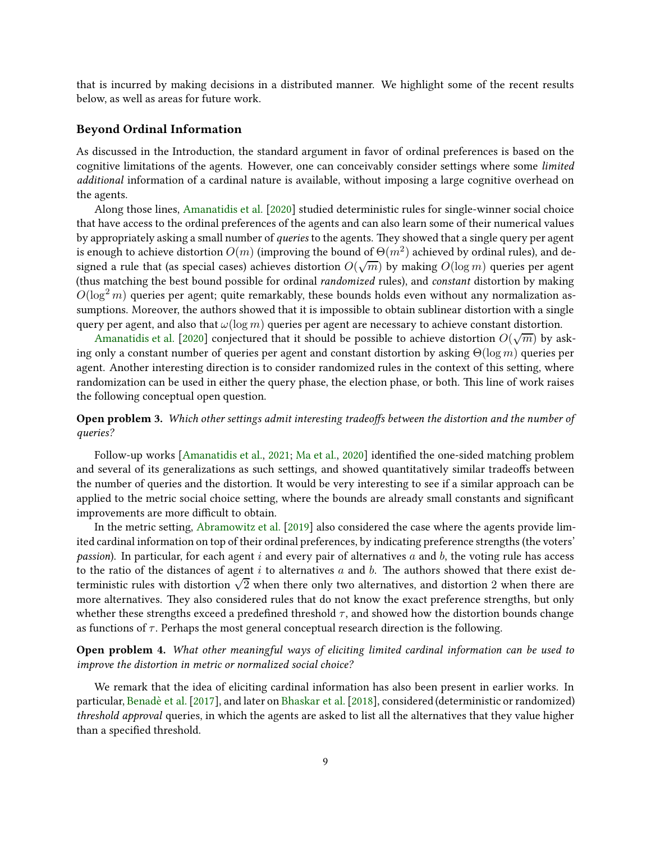that is incurred by making decisions in a distributed manner. We highlight some of the recent results below, as well as areas for future work.

#### Beyond Ordinal Information

As discussed in the Introduction, the standard argument in favor of ordinal preferences is based on the cognitive limitations of the agents. However, one can conceivably consider settings where some *limited* additional information of a cardinal nature is available, without imposing a large cognitive overhead on the agents.

Along those lines, [Amanatidis et al.](#page-10-11) [\[2020](#page-10-11)] studied deterministic rules for single-winner social choice that have access to the ordinal preferences of the agents and can also learn some of their numerical values by appropriately asking a small number of *queries* to the agents. They showed that a single query per agent is enough to achieve distortion  $O(m)$  (improving the bound of  $\Theta(m^2)$  achieved by ordinal rules), and designed a rule that (as special cases) achieves distortion  $O(\sqrt{m})$  by making  $O(\log m)$  queries per agent (thus matching the best bound possible for ordinal randomized rules), and constant distortion by making  $O(\log^2 m)$  queries per agent; quite remarkably, these bounds holds even without any normalization assumptions. Moreover, the authors showed that it is impossible to obtain sublinear distortion with a single query per agent, and also that  $\omega(\log m)$  queries per agent are necessary to achieve constant distortion.

[Amanatidis et al.](#page-10-11) [\[2020\]](#page-10-11) conjectured that it should be possible to achieve distortion  $O(\sqrt{m})$  by asking only a constant number of queries per agent and constant distortion by asking  $\Theta(\log m)$  queries per agent. Another interesting direction is to consider randomized rules in the context of this setting, where randomization can be used in either the query phase, the election phase, or both. This line of work raises the following conceptual open question.

### Open problem 3. Which other settings admit interesting tradeoffs between the distortion and the number of queries?

Follow-up works [\[Amanatidis et al.,](#page-10-6) [2021;](#page-10-6) [Ma et al.,](#page-12-10) [2020](#page-12-10)] identified the one-sided matching problem and several of its generalizations as such settings, and showed quantitatively similar tradeoffs between the number of queries and the distortion. It would be very interesting to see if a similar approach can be applied to the metric social choice setting, where the bounds are already small constants and significant improvements are more difficult to obtain.

In the metric setting, [Abramowitz et al.](#page-10-12) [\[2019](#page-10-12)] also considered the case where the agents provide limited cardinal information on top of their ordinal preferences, by indicating preference strengths (the voters' *passion*). In particular, for each agent  $i$  and every pair of alternatives  $a$  and  $b$ , the voting rule has access to the ratio of the distances of agent  $i$  to alternatives  $a$  and  $b$ . The authors showed that there exist deterministic rules with distortion  $\sqrt{2}$  when there only two alternatives, and distortion 2 when there are more alternatives. They also considered rules that do not know the exact preference strengths, but only whether these strengths exceed a predefined threshold  $\tau$ , and showed how the distortion bounds change as functions of  $\tau$ . Perhaps the most general conceptual research direction is the following.

Open problem 4. What other meaningful ways of eliciting limited cardinal information can be used to improve the distortion in metric or normalized social choice?

We remark that the idea of eliciting cardinal information has also been present in earlier works. In particular, Benadè et al. [\[2017](#page-10-1)], and later on Bhaskar et al. [2018], considered (deterministic or randomized) threshold approval queries, in which the agents are asked to list all the alternatives that they value higher than a specified threshold.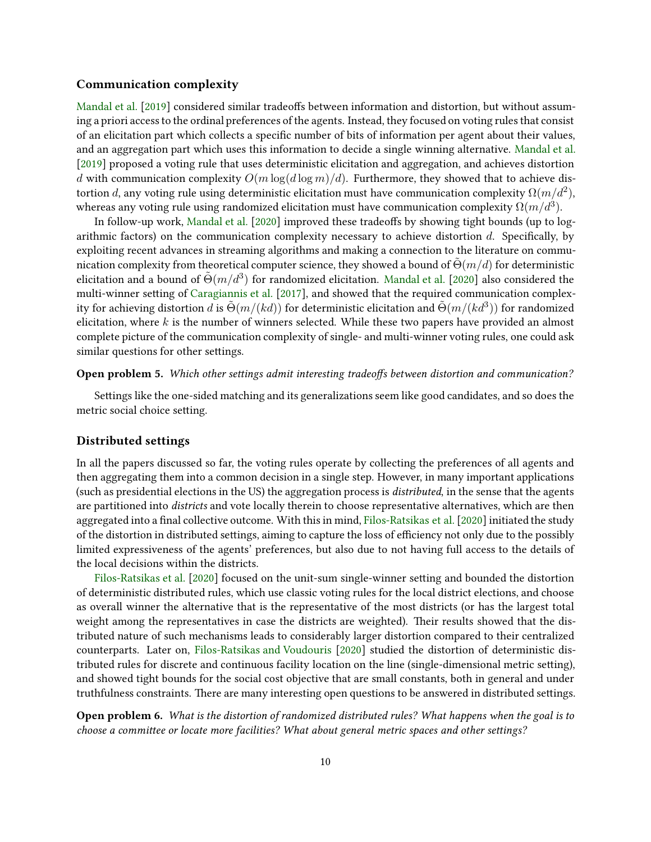### Communication complexity

[Mandal et al.](#page-12-11) [\[2019](#page-12-11)] considered similar tradeoffs between information and distortion, but without assuming a priori access to the ordinal preferences of the agents. Instead, they focused on voting rules that consist of an elicitation part which collects a specific number of bits of information per agent about their values, and an aggregation part which uses this information to decide a single winning alternative. [Mandal et al.](#page-12-11) [\[2019](#page-12-11)] proposed a voting rule that uses deterministic elicitation and aggregation, and achieves distortion d with communication complexity  $O(m \log(d \log m)/d)$ . Furthermore, they showed that to achieve distortion  $d$ , any voting rule using deterministic elicitation must have communication complexity  $\Omega(m/d^2)$ , whereas any voting rule using randomized elicitation must have communication complexity  $\Omega(m/d^3)$ .

In follow-up work, [Mandal et al.](#page-12-12) [\[2020](#page-12-12)] improved these tradeoffs by showing tight bounds (up to logarithmic factors) on the communication complexity necessary to achieve distortion  $d$ . Specifically, by exploiting recent advances in streaming algorithms and making a connection to the literature on communication complexity from theoretical computer science, they showed a bound of  $\Theta(m/d)$  for deterministic elicitation and a bound of  $\tilde{\Theta}(m/d^3)$  for randomized elicitation. [Mandal et al.](#page-12-12) [\[2020](#page-12-12)] also considered the multi-winner setting of [Caragiannis et al.](#page-11-2) [\[2017\]](#page-11-2), and showed that the required communication complexity for achieving distortion  $d$  is  $\tilde{\Theta}(m/(kd))$  for deterministic elicitation and  $\tilde{\Theta}(m/(kd^3))$  for randomized elicitation, where  $k$  is the number of winners selected. While these two papers have provided an almost complete picture of the communication complexity of single- and multi-winner voting rules, one could ask similar questions for other settings.

#### Open problem 5. Which other settings admit interesting tradeoffs between distortion and communication?

Settings like the one-sided matching and its generalizations seem like good candidates, and so does the metric social choice setting.

### Distributed settings

In all the papers discussed so far, the voting rules operate by collecting the preferences of all agents and then aggregating them into a common decision in a single step. However, in many important applications (such as presidential elections in the US) the aggregation process is distributed, in the sense that the agents are partitioned into districts and vote locally therein to choose representative alternatives, which are then aggregated into a final collective outcome. With this in mind, [Filos-Ratsikas et al.](#page-12-13) [\[2020](#page-12-13)] initiated the study of the distortion in distributed seings, aiming to capture the loss of efficiency not only due to the possibly limited expressiveness of the agents' preferences, but also due to not having full access to the details of the local decisions within the districts.

[Filos-Ratsikas et al.](#page-12-13) [\[2020](#page-12-13)] focused on the unit-sum single-winner setting and bounded the distortion of deterministic distributed rules, which use classic voting rules for the local district elections, and choose as overall winner the alternative that is the representative of the most districts (or has the largest total weight among the representatives in case the districts are weighted). Their results showed that the distributed nature of such mechanisms leads to considerably larger distortion compared to their centralized counterparts. Later on, [Filos-Ratsikas and Voudouris](#page-12-14) [\[2020](#page-12-14)] studied the distortion of deterministic distributed rules for discrete and continuous facility location on the line (single-dimensional metric setting), and showed tight bounds for the social cost objective that are small constants, both in general and under truthfulness constraints. There are many interesting open questions to be answered in distributed settings.

Open problem 6. What is the distortion of randomized distributed rules? What happens when the goal is to choose a committee or locate more facilities? What about general metric spaces and other settings?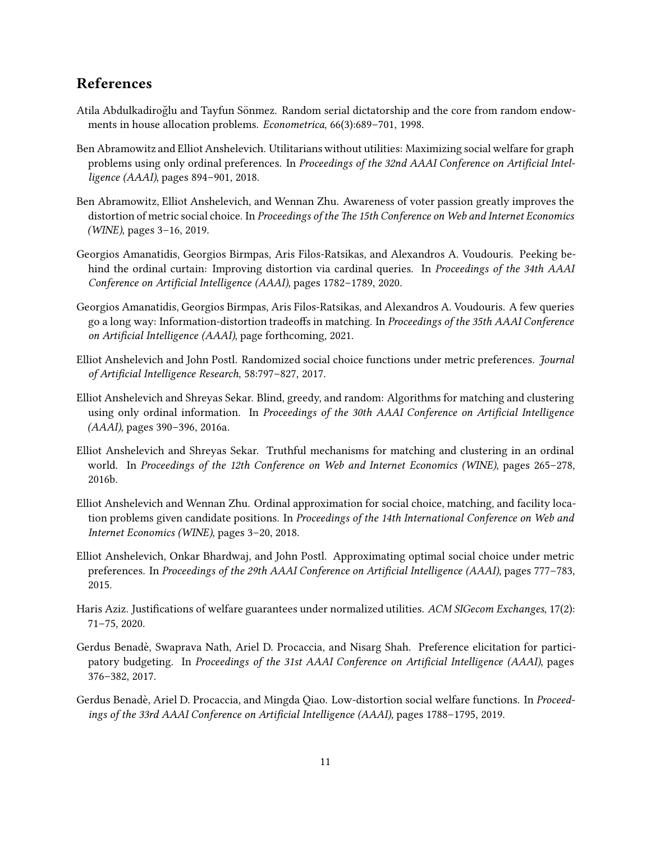## References

- <span id="page-10-5"></span>Atila Abdulkadiroğlu and Tayfun Sönmez. Random serial dictatorship and the core from random endowments in house allocation problems. Econometrica, 66(3):689–701, 1998.
- <span id="page-10-9"></span>Ben Abramowitz and Elliot Anshelevich. Utilitarians without utilities: Maximizing social welfare for graph problems using only ordinal preferences. In Proceedings of the 32nd AAAI Conference on Artificial Intelligence (AAAI), pages 894–901, 2018.
- <span id="page-10-12"></span>Ben Abramowitz, Elliot Anshelevich, and Wennan Zhu. Awareness of voter passion greatly improves the distortion of metric social choice. In Proceedings of the The 15th Conference on Web and Internet Economics (WINE), pages 3–16, 2019.
- <span id="page-10-11"></span>Georgios Amanatidis, Georgios Birmpas, Aris Filos-Ratsikas, and Alexandros A. Voudouris. Peeking behind the ordinal curtain: Improving distortion via cardinal queries. In Proceedings of the 34th AAAI Conference on Artificial Intelligence (AAAI), pages 1782–1789, 2020.
- <span id="page-10-6"></span>Georgios Amanatidis, Georgios Birmpas, Aris Filos-Ratsikas, and Alexandros A. Voudouris. A few queries go a long way: Information-distortion tradeoffs in matching. In Proceedings of the 35th AAAI Conference on Artificial Intelligence (AAAI), page forthcoming, 2021.
- <span id="page-10-4"></span>Elliot Anshelevich and John Postl. Randomized social choice functions under metric preferences. Journal of Artificial Intelligence Research, 58:797–827, 2017.
- <span id="page-10-7"></span>Elliot Anshelevich and Shreyas Sekar. Blind, greedy, and random: Algorithms for matching and clustering using only ordinal information. In Proceedings of the 30th AAAI Conference on Artificial Intelligence (AAAI), pages 390–396, 2016a.
- <span id="page-10-8"></span>Elliot Anshelevich and Shreyas Sekar. Truthful mechanisms for matching and clustering in an ordinal world. In Proceedings of the 12th Conference on Web and Internet Economics (WINE), pages 265–278, 2016b.
- <span id="page-10-10"></span>Elliot Anshelevich and Wennan Zhu. Ordinal approximation for social choice, matching, and facility location problems given candidate positions. In Proceedings of the 14th International Conference on Web and Internet Economics (WINE), pages 3–20, 2018.
- <span id="page-10-3"></span>Elliot Anshelevich, Onkar Bhardwaj, and John Postl. Approximating optimal social choice under metric preferences. In Proceedings of the 29th AAAI Conference on Artificial Intelligence (AAAI), pages 777–783, 2015.
- <span id="page-10-0"></span>Haris Aziz. Justifications of welfare guarantees under normalized utilities. ACM SIGecom Exchanges, 17(2): 71–75, 2020.
- <span id="page-10-1"></span>Gerdus Benadè, Swaprava Nath, Ariel D. Procaccia, and Nisarg Shah. Preference elicitation for participatory budgeting. In Proceedings of the 31st AAAI Conference on Artificial Intelligence (AAAI), pages 376–382, 2017.
- <span id="page-10-2"></span>Gerdus Benadè, Ariel D. Procaccia, and Mingda Qiao. Low-distortion social welfare functions. In Proceedings of the 33rd AAAI Conference on Artificial Intelligence (AAAI), pages 1788–1795, 2019.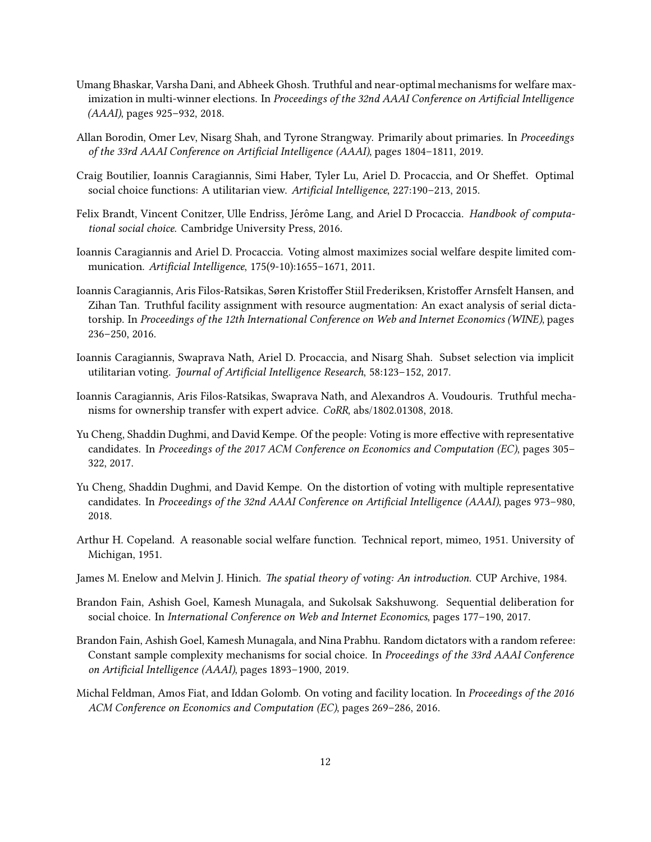- <span id="page-11-12"></span>Umang Bhaskar, Varsha Dani, and Abheek Ghosh. Truthful and near-optimal mechanisms for welfare maximization in multi-winner elections. In Proceedings of the 32nd AAAI Conference on Artificial Intelligence (AAAI), pages 925–932, 2018.
- <span id="page-11-11"></span>Allan Borodin, Omer Lev, Nisarg Shah, and Tyrone Strangway. Primarily about primaries. In Proceedings of the 33rd AAAI Conference on Artificial Intelligence (AAAI), pages 1804–1811, 2019.
- <span id="page-11-3"></span>Craig Boutilier, Ioannis Caragiannis, Simi Haber, Tyler Lu, Ariel D. Procaccia, and Or Sheffet. Optimal social choice functions: A utilitarian view. Artificial Intelligence, 227:190–213, 2015.
- <span id="page-11-0"></span>Felix Brandt, Vincent Conitzer, Ulle Endriss, Jérôme Lang, and Ariel D Procaccia. *Handbook of computa*tional social choice. Cambridge University Press, 2016.
- <span id="page-11-1"></span>Ioannis Caragiannis and Ariel D. Procaccia. Voting almost maximizes social welfare despite limited communication. Artificial Intelligence, 175(9-10):1655–1671, 2011.
- <span id="page-11-14"></span>Ioannis Caragiannis, Aris Filos-Ratsikas, Søren Kristoffer Stiil Frederiksen, Kristoffer Arnsfelt Hansen, and Zihan Tan. Truthful facility assignment with resource augmentation: An exact analysis of serial dictatorship. In Proceedings of the 12th International Conference on Web and Internet Economics (WINE), pages 236–250, 2016.
- <span id="page-11-2"></span>Ioannis Caragiannis, Swaprava Nath, Ariel D. Procaccia, and Nisarg Shah. Subset selection via implicit utilitarian voting. Journal of Artificial Intelligence Research, 58:123–152, 2017.
- <span id="page-11-13"></span>Ioannis Caragiannis, Aris Filos-Ratsikas, Swaprava Nath, and Alexandros A. Voudouris. Truthful mechanisms for ownership transfer with expert advice. CoRR, abs/1802.01308, 2018.
- <span id="page-11-9"></span>Yu Cheng, Shaddin Dughmi, and David Kempe. Of the people: Voting is more effective with representative candidates. In Proceedings of the 2017 ACM Conference on Economics and Computation (EC), pages 305– 322, 2017.
- <span id="page-11-10"></span>Yu Cheng, Shaddin Dughmi, and David Kempe. On the distortion of voting with multiple representative candidates. In Proceedings of the 32nd AAAI Conference on Artificial Intelligence (AAAI), pages 973–980, 2018.
- <span id="page-11-5"></span>Arthur H. Copeland. A reasonable social welfare function. Technical report, mimeo, 1951. University of Michigan, 1951.
- <span id="page-11-4"></span>James M. Enelow and Melvin J. Hinich. The spatial theory of voting: An introduction. CUP Archive, 1984.
- <span id="page-11-7"></span>Brandon Fain, Ashish Goel, Kamesh Munagala, and Sukolsak Sakshuwong. Sequential deliberation for social choice. In International Conference on Web and Internet Economics, pages 177–190, 2017.
- <span id="page-11-8"></span>Brandon Fain, Ashish Goel, Kamesh Munagala, and Nina Prabhu. Random dictators with a random referee: Constant sample complexity mechanisms for social choice. In Proceedings of the 33rd AAAI Conference on Artificial Intelligence (AAAI), pages 1893–1900, 2019.
- <span id="page-11-6"></span>Michal Feldman, Amos Fiat, and Iddan Golomb. On voting and facility location. In Proceedings of the 2016 ACM Conference on Economics and Computation (EC), pages 269–286, 2016.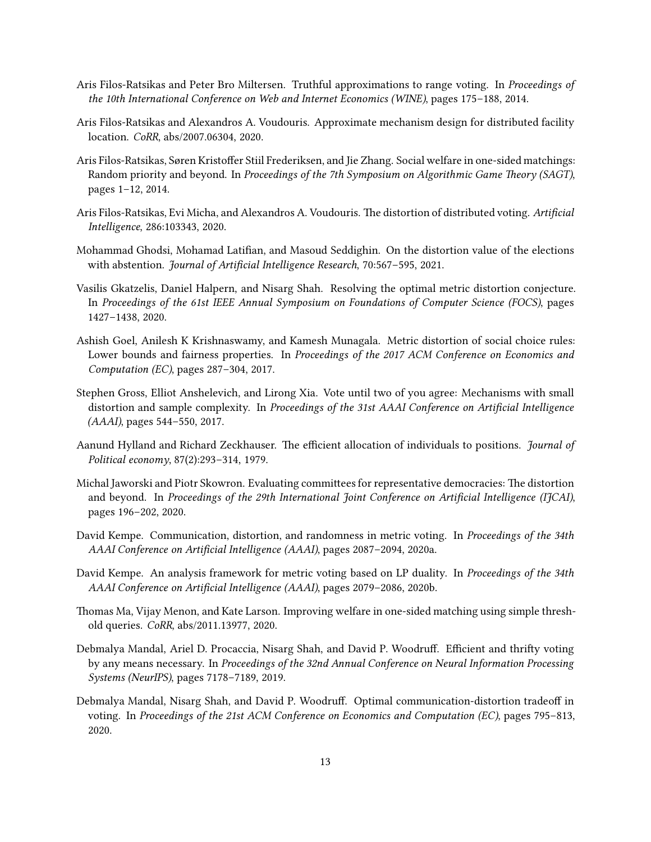- <span id="page-12-9"></span>Aris Filos-Ratsikas and Peter Bro Miltersen. Truthful approximations to range voting. In Proceedings of the 10th International Conference on Web and Internet Economics (WINE), pages 175–188, 2014.
- <span id="page-12-14"></span>Aris Filos-Ratsikas and Alexandros A. Voudouris. Approximate mechanism design for distributed facility location. CoRR, abs/2007.06304, 2020.
- <span id="page-12-8"></span>Aris Filos-Ratsikas, Søren Kristoffer Stiil Frederiksen, and Jie Zhang. Social welfare in one-sided matchings: Random priority and beyond. In Proceedings of the 7th Symposium on Algorithmic Game Theory (SAGT), pages 1–12, 2014.
- <span id="page-12-13"></span>Aris Filos-Ratsikas, Evi Micha, and Alexandros A. Voudouris. The distortion of distributed voting. Artificial Intelligence, 286:103343, 2020.
- <span id="page-12-5"></span>Mohammad Ghodsi, Mohamad Latifian, and Masoud Seddighin. On the distortion value of the elections with abstention. Journal of Artificial Intelligence Research, 70:567–595, 2021.
- <span id="page-12-2"></span>Vasilis Gkatzelis, Daniel Halpern, and Nisarg Shah. Resolving the optimal metric distortion conjecture. In Proceedings of the 61st IEEE Annual Symposium on Foundations of Computer Science (FOCS), pages 1427–1438, 2020.
- <span id="page-12-0"></span>Ashish Goel, Anilesh K Krishnaswamy, and Kamesh Munagala. Metric distortion of social choice rules: Lower bounds and fairness properties. In Proceedings of the 2017 ACM Conference on Economics and Computation (EC), pages 287–304, 2017.
- <span id="page-12-4"></span>Stephen Gross, Elliot Anshelevich, and Lirong Xia. Vote until two of you agree: Mechanisms with small distortion and sample complexity. In Proceedings of the 31st AAAI Conference on Artificial Intelligence (AAAI), pages 544–550, 2017.
- <span id="page-12-7"></span>Aanund Hylland and Richard Zeckhauser. The efficient allocation of individuals to positions. Journal of Political economy, 87(2):293–314, 1979.
- <span id="page-12-6"></span>Michal Jaworski and Piotr Skowron. Evaluating committees for representative democracies: The distortion and beyond. In Proceedings of the 29th International Joint Conference on Artificial Intelligence (IJCAI), pages 196–202, 2020.
- <span id="page-12-3"></span>David Kempe. Communication, distortion, and randomness in metric voting. In Proceedings of the 34th AAAI Conference on Artificial Intelligence (AAAI), pages 2087–2094, 2020a.
- <span id="page-12-1"></span>David Kempe. An analysis framework for metric voting based on LP duality. In Proceedings of the 34th AAAI Conference on Artificial Intelligence (AAAI), pages 2079–2086, 2020b.
- <span id="page-12-10"></span>Thomas Ma, Vijay Menon, and Kate Larson. Improving welfare in one-sided matching using simple threshold queries. CoRR, abs/2011.13977, 2020.
- <span id="page-12-11"></span>Debmalya Mandal, Ariel D. Procaccia, Nisarg Shah, and David P. Woodruff. Efficient and thrifty voting by any means necessary. In Proceedings of the 32nd Annual Conference on Neural Information Processing Systems (NeurIPS), pages 7178–7189, 2019.
- <span id="page-12-12"></span>Debmalya Mandal, Nisarg Shah, and David P. Woodruff. Optimal communication-distortion tradeoff in voting. In Proceedings of the 21st ACM Conference on Economics and Computation (EC), pages 795–813, 2020.